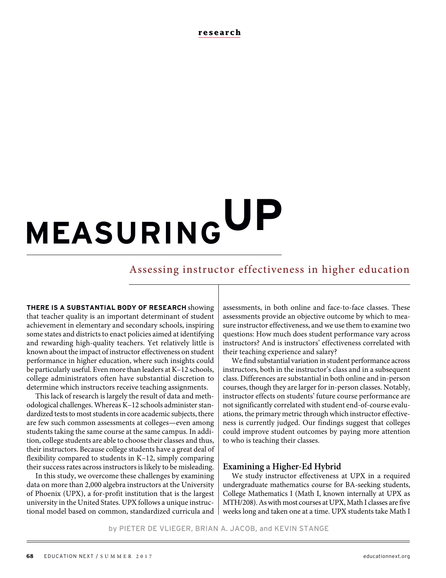**research**

# **MEASURING UP**

# Assessing instructor effectiveness in higher education

**THERE IS A SUBSTANTIAL BODY OF RESEARCH** showing that teacher quality is an important determinant of student achievement in elementary and secondary schools, inspiring some states and districts to enact policies aimed at identifying and rewarding high-quality teachers. Yet relatively little is known about the impact of instructor effectiveness on student performance in higher education, where such insights could be particularly useful. Even more than leaders at K–12 schools, college administrators often have substantial discretion to determine which instructors receive teaching assignments.

This lack of research is largely the result of data and methodological challenges. Whereas K–12 schools administer standardized tests to most students in core academic subjects, there are few such common assessments at colleges—even among students taking the same course at the same campus. In addition, college students are able to choose their classes and thus, their instructors. Because college students have a great deal of flexibility compared to students in K–12, simply comparing their success rates across instructors is likely to be misleading.

In this study, we overcome these challenges by examining data on more than 2,000 algebra instructors at the University of Phoenix (UPX), a for-profit institution that is the largest university in the United States. UPX follows a unique instructional model based on common, standardized curricula and assessments, in both online and face-to-face classes. These assessments provide an objective outcome by which to measure instructor effectiveness, and we use them to examine two questions: How much does student performance vary across instructors? And is instructors' effectiveness correlated with their teaching experience and salary?

We find substantial variation in student performance across instructors, both in the instructor's class and in a subsequent class. Differences are substantial in both online and in-person courses, though they are larger for in-person classes. Notably, instructor effects on students' future course performance are not significantly correlated with student end-of-course evaluations, the primary metric through which instructor effectiveness is currently judged. Our findings suggest that colleges could improve student outcomes by paying more attention to who is teaching their classes.

#### **Examining a Higher-Ed Hybrid**

We study instructor effectiveness at UPX in a required undergraduate mathematics course for BA-seeking students, College Mathematics I (Math I, known internally at UPX as MTH/208). As with most courses at UPX, Math I classes are five weeks long and taken one at a time. UPX students take Math I

by PIETER DE VLIEGER, BRIAN A. JACOB, and KEVIN STANGE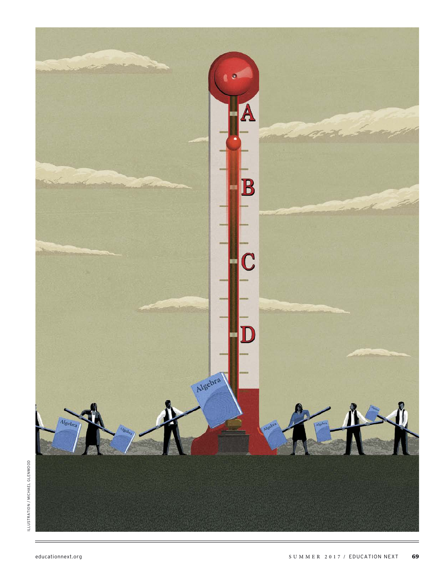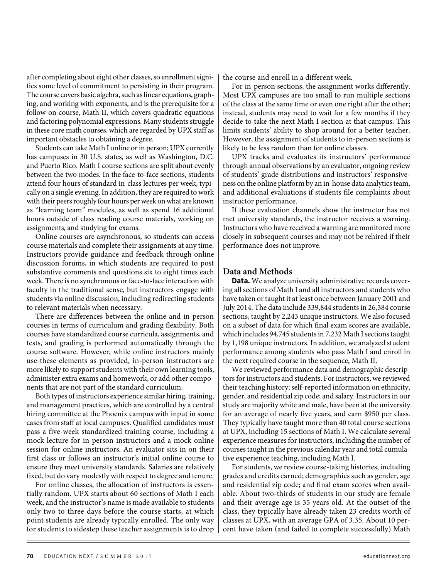after completing about eight other classes, so enrollment signifies some level of commitment to persisting in their program. The course covers basic algebra, such as linear equations, graphing, and working with exponents, and is the prerequisite for a follow-on course, Math II, which covers quadratic equations and factoring polynomial expressions. Many students struggle in these core math courses, which are regarded by UPX staff as important obstacles to obtaining a degree.

Students can take Math I online or in person; UPX currently has campuses in 30 U.S. states, as well as Washington, D.C. and Puerto Rico. Math I course sections are split about evenly between the two modes. In the face-to-face sections, students attend four hours of standard in-class lectures per week, typically on a single evening. In addition, they are required to work with their peers roughly four hours per week on what are known as "learning team" modules, as well as spend 16 additional hours outside of class reading course materials, working on assignments, and studying for exams.

Online courses are asynchronous, so students can access course materials and complete their assignments at any time. Instructors provide guidance and feedback through online discussion forums, in which students are required to post substantive comments and questions six to eight times each week. There is no synchronous or face-to-face interaction with faculty in the traditional sense, but instructors engage with students via online discussion, including redirecting students to relevant materials when necessary.

There are differences between the online and in-person courses in terms of curriculum and grading flexibility. Both courses have standardized course curricula, assignments, and tests, and grading is performed automatically through the course software. However, while online instructors mainly use these elements as provided, in-person instructors are more likely to support students with their own learning tools, administer extra exams and homework, or add other components that are not part of the standard curriculum.

Both types of instructors experience similar hiring, training, and management practices, which are controlled by a central hiring committee at the Phoenix campus with input in some cases from staff at local campuses. Qualified candidates must pass a five-week standardized training course, including a mock lecture for in-person instructors and a mock online session for online instructors. An evaluator sits in on their first class or follows an instructor's initial online course to ensure they meet university standards. Salaries are relatively fixed, but do vary modestly with respect to degree and tenure.

For online classes, the allocation of instructors is essentially random. UPX starts about 60 sections of Math I each week, and the instructor's name is made available to students only two to three days before the course starts, at which point students are already typically enrolled. The only way for students to sidestep these teacher assignments is to drop the course and enroll in a different week.

For in-person sections, the assignment works differently. Most UPX campuses are too small to run multiple sections of the class at the same time or even one right after the other; instead, students may need to wait for a few months if they decide to take the next Math I section at that campus. This limits students' ability to shop around for a better teacher. However, the assignment of students to in-person sections is likely to be less random than for online classes.

UPX tracks and evaluates its instructors' performance through annual observations by an evaluator, ongoing review of students' grade distributions and instructors' responsiveness on the online platform by an in-house data analytics team, and additional evaluations if students file complaints about instructor performance.

If these evaluation channels show the instructor has not met university standards, the instructor receives a warning. Instructors who have received a warning are monitored more closely in subsequent courses and may not be rehired if their performance does not improve.

#### **Data and Methods**

**Data.** We analyze university administrative records covering all sections of Math I and all instructors and students who have taken or taught it at least once between January 2001 and July 2014. The data include 339,844 students in 26,384 course sections, taught by 2,243 unique instructors. We also focused on a subset of data for which final exam scores are available, which includes 94,745 students in 7,232 Math I sections taught by 1,198 unique instructors. In addition, we analyzed student performance among students who pass Math I and enroll in the next required course in the sequence, Math II.

We reviewed performance data and demographic descriptors for instructors and students. For instructors, we reviewed their teaching history; self-reported information on ethnicity, gender, and residential zip code; and salary. Instructors in our study are majority white and male, have been at the university for an average of nearly five years, and earn \$950 per class. They typically have taught more than 40 total course sections at UPX, including 15 sections of Math I. We calculate several experience measures for instructors, including the number of courses taught in the previous calendar year and total cumulative experience teaching, including Math I.

For students, we review course-taking histories, including grades and credits earned; demographics such as gender, age and residential zip code; and final exam scores when available. About two-thirds of students in our study are female and their average age is 35 years old. At the outset of the class, they typically have already taken 23 credits worth of classes at UPX, with an average GPA of 3.35. About 10 percent have taken (and failed to complete successfully) Math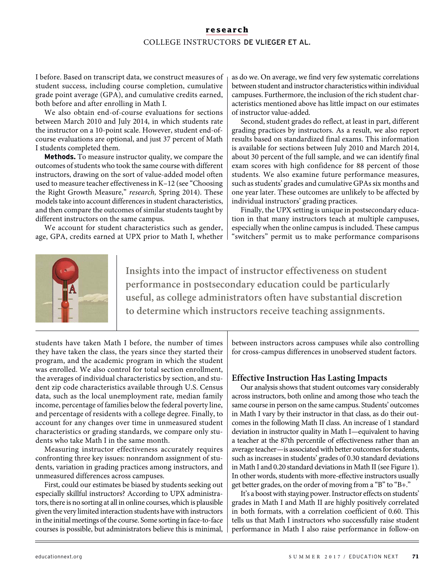## **research** COLLEGE INSTRUCTORS DE VLIEGER ET AL.

I before. Based on transcript data, we construct measures of student success, including course completion, cumulative grade point average (GPA), and cumulative credits earned, both before and after enrolling in Math I.

We also obtain end-of-course evaluations for sections between March 2010 and July 2014, in which students rate the instructor on a 10-point scale. However, student end-ofcourse evaluations are optional, and just 37 percent of Math I students completed them.

**Methods.** To measure instructor quality, we compare the outcomes of students who took the same course with different instructors, drawing on the sort of value-added model often used to measure teacher effectiveness in K–12 (see "Choosing the Right Growth Measure," research, Spring 2014). These models take into account differences in student characteristics, and then compare the outcomes of similar students taught by different instructors on the same campus.

We account for student characteristics such as gender, age, GPA, credits earned at UPX prior to Math I, whether as do we. On average, we find very few systematic correlations between student and instructor characteristics within individual campuses. Furthermore, the inclusion of the rich student characteristics mentioned above has little impact on our estimates of instructor value-added.

Second, student grades do reflect, at least in part, different grading practices by instructors. As a result, we also report results based on standardized final exams. This information is available for sections between July 2010 and March 2014, about 30 percent of the full sample, and we can identify final exam scores with high confidence for 88 percent of those students. We also examine future performance measures, such as students' grades and cumulative GPAs six months and one year later. These outcomes are unlikely to be affected by individual instructors' grading practices.

Finally, the UPX setting is unique in postsecondary education in that many instructors teach at multiple campuses, especially when the online campus is included. These campus "switchers" permit us to make performance comparisons



**Insights into the impact of instructor effectiveness on student performance in postsecondary education could be particularly useful, as college administrators often have substantial discretion to determine which instructors receive teaching assignments.**

students have taken Math I before, the number of times they have taken the class, the years since they started their program, and the academic program in which the student was enrolled. We also control for total section enrollment, the averages of individual characteristics by section, and student zip code characteristics available through U.S. Census data, such as the local unemployment rate, median family income, percentage of families below the federal poverty line, and percentage of residents with a college degree. Finally, to account for any changes over time in unmeasured student characteristics or grading standards, we compare only students who take Math I in the same month.

Measuring instructor effectiveness accurately requires confronting three key issues: nonrandom assignment of students, variation in grading practices among instructors, and unmeasured differences across campuses.

First, could our estimates be biased by students seeking out especially skillful instructors? According to UPX administrators, there is no sorting at all in online courses, which is plausible given the very limited interaction students have with instructors in the initial meetings of the course. Some sorting in face-to-face courses is possible, but administrators believe this is minimal,

between instructors across campuses while also controlling for cross-campus differences in unobserved student factors.

## **Effective Instruction Has Lasting Impacts**

Our analysis shows that student outcomes vary considerably across instructors, both online and among those who teach the same course in person on the same campus. Students' outcomes in Math I vary by their instructor in that class, as do their outcomes in the following Math II class. An increase of 1 standard deviation in instructor quality in Math I—equivalent to having a teacher at the 87th percentile of effectiveness rather than an average teacher—is associated with better outcomes for students, such as increases in students' grades of 0.30 standard deviations in Math I and 0.20 standard deviations in Math II (see Figure 1). In other words, students with more-effective instructors usually get better grades, on the order of moving from a "B" to "B+."

It's a boost with staying power. Instructor effects on students' grades in Math I and Math II are highly positively correlated in both formats, with a correlation coefficient of 0.60. This tells us that Math I instructors who successfully raise student performance in Math I also raise performance in follow-on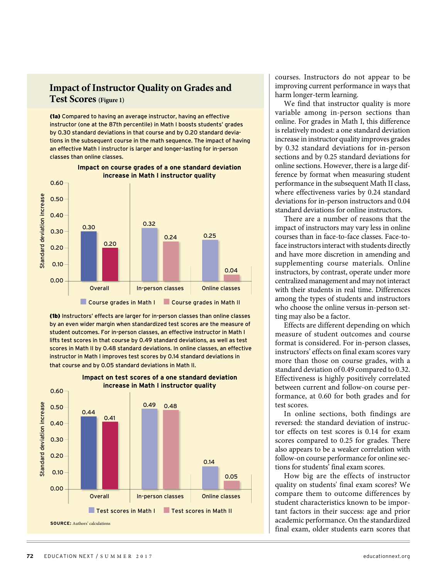## **Impact of Instructor Quality on Grades and Test Scores(Figure 1)**

(1a) Compared to having an average instructor, having an effective instructor (one at the 87th percentile) in Math I boosts students' grades by 0.30 standard deviations in that course and by 0.20 standard deviations in the subsequent course in the math sequence. The impact of having an effective Math I instructor is larger and longer-lasting for in-person classes than online classes.



#### **Impact on course grades of a one standard deviation increase in Math I instructor quality**

(1b) Instructors' effects are larger for in-person classes than online classes by an even wider margin when standardized test scores are the measure of student outcomes. For in-person classes, an effective instructor in Math I lifts test scores in that course by 0.49 standard deviations, as well as test scores in Math II by 0.48 standard deviations. In online classes, an effective instructor in Math I improves test scores by 0.14 standard deviations in that course and by 0.05 standard deviations in Math II.





courses. Instructors do not appear to be improving current performance in ways that harm longer-term learning.

We find that instructor quality is more variable among in-person sections than online. For grades in Math I, this difference is relatively modest: a one standard deviation increase in instructor quality improves grades by 0.32 standard deviations for in-person sections and by 0.25 standard deviations for online sections. However, there is a large difference by format when measuring student performance in the subsequent Math II class, where effectiveness varies by 0.24 standard deviations for in-person instructors and 0.04 standard deviations for online instructors.

There are a number of reasons that the impact of instructors may vary less in online courses than in face-to-face classes. Face-toface instructors interact with students directly and have more discretion in amending and supplementing course materials. Online instructors, by contrast, operate under more centralized management and may not interact with their students in real time. Differences among the types of students and instructors who choose the online versus in-person setting may also be a factor.

Effects are different depending on which measure of student outcomes and course format is considered. For in-person classes, instructors' effects on final exam scores vary more than those on course grades, with a standard deviation of 0.49 compared to 0.32. Effectiveness is highly positively correlated between current and follow-on course performance, at 0.60 for both grades and for test scores.

In online sections, both findings are reversed: the standard deviation of instructor effects on test scores is 0.14 for exam scores compared to 0.25 for grades. There also appears to be a weaker correlation with follow-on course performance for online sections for students' final exam scores.

How big are the effects of instructor quality on students' final exam scores? We compare them to outcome differences by student characteristics known to be important factors in their success: age and prior academic performance. On the standardized final exam, older students earn scores that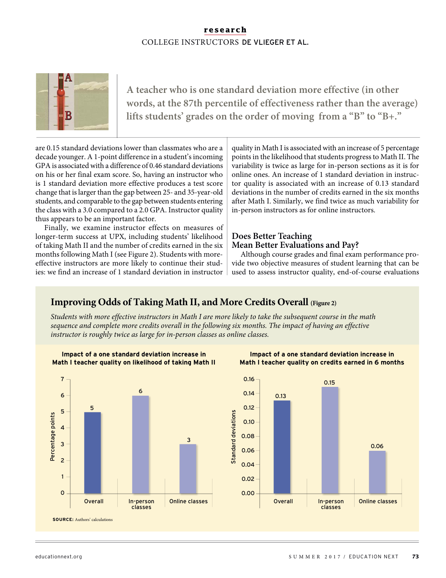## **research** COLLEGE INSTRUCTORS DE VLIEGER ET AL.



**A teacher who is one standard deviation more effective (in other words, at the 87th percentile of effectiveness rather than the average) lifts students' grades on the order of moving from a "B" to "B+."**

are 0.15 standard deviations lower than classmates who are a decade younger. A 1-point difference in a student's incoming GPA is associated with a difference of 0.46 standard deviations on his or her final exam score. So, having an instructor who is 1 standard deviation more effective produces a test score change that is larger than the gap between 25- and 35-year-old students, and comparable to the gap between students entering the class with a 3.0 compared to a 2.0 GPA. Instructor quality thus appears to be an important factor.

Finally, we examine instructor effects on measures of longer-term success at UPX, including students' likelihood of taking Math II and the number of credits earned in the six months following Math I (see Figure 2). Students with moreeffective instructors are more likely to continue their studies: we find an increase of 1 standard deviation in instructor quality in Math I is associated with an increase of 5 percentage points in the likelihood that students progress to Math II. The variability is twice as large for in-person sections as it is for online ones. An increase of 1 standard deviation in instructor quality is associated with an increase of 0.13 standard deviations in the number of credits earned in the six months after Math I. Similarly, we find twice as much variability for in-person instructors as for online instructors.

## **Does Better Teaching Mean Better Evaluations and Pay?**

Although course grades and final exam performance provide two objective measures of student learning that can be used to assess instructor quality, end-of-course evaluations

## **Improving Odds of Taking Math II, and More Credits Overall (Figure 2)**

Students with more effective instructors in Math I are more likely to take the subsequent course in the math sequence and complete more credits overall in the following six months. The impact of having an effective instructor is roughly twice as large for in-person classes as online classes.